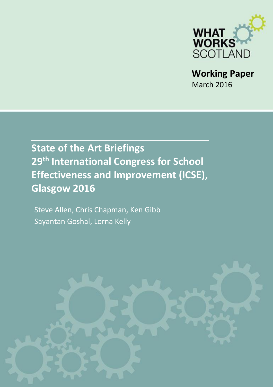

**Working Paper** March 2016

# **State of the Art Briefings 29th International Congress for School Effectiveness and Improvement (ICSE), Glasgow 2016**

Steve Allen, Chris Chapman, Ken Gibb Sayantan Goshal, Lorna Kelly

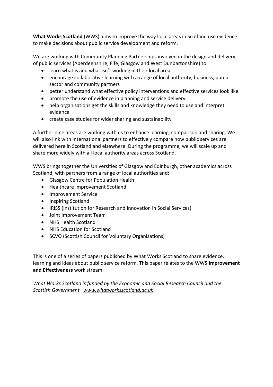**What Works Scotland** (WWS) aims to improve the way local areas in Scotland use evidence to make decisions about public service development and reform.

We are working with Community Planning Partnerships involved in the design and delivery of public services (Aberdeenshire[, Fife,](http://whatworksscotland.ac.uk/casestudyareas/fife/) [Glasgow](http://whatworksscotland.ac.uk/casestudyareas/glasgow/) and [West Dunbartonshire\)](http://whatworksscotland.ac.uk/casestudyareas/west-dunbartonshire/) to:

- learn what is and what isn't working in their local area
- encourage collaborative learning with a range of local authority, business, public sector and community partners
- better understand what effective policy interventions and effective services look like
- promote the use of evidence in planning and service delivery
- help organisations get the skills and knowledge they need to use and interpret evidence
- create case studies for wider sharing and sustainability

A further nine areas are working with us to enhance learning, comparison and sharing. We will also link with international partners to effectively compare how public services are delivered here in Scotland and elsewhere. During the programme, we will scale up and share more widely with all local authority areas across Scotland.

WWS brings together the Universities of Glasgow and Edinburgh, other academics across Scotland, with partners from a range of local authorities and:

- Glasgow Centre for Population Health
- Healthcare Improvement Scotland
- Improvement Service
- Inspiring Scotland
- IRISS (Institution for Research and Innovation in Social Services)
- Joint Improvement Team
- NHS Health Scotland
- NHS Education for Scotland
- SCVO (Scottish Council for Voluntary Organisations)

This is one of a series of papers published by What Works Scotland to share evidence, learning and ideas about public service reform. This paper relates to the WWS **Improvement and Effectiveness** work stream.

*What Works Scotland is funded by the Economic and Social Research Council and the Scottish Government. [www.whatworksscotland.ac.uk](http://whatworksscotland.ac.uk/the-project/)*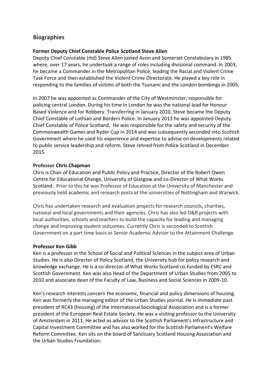## **Biographies**

#### **Former Deputy Chief Constable Police Scotland Steve Allen**

Deputy Chief Constable (rtd) Steve Allen joined Avon and Somerset Constabulary in 1985 where, over 17 years, he undertook a range of roles including divisional command. In 2003, he became a Commander in the Metropolitan Police, leading the Racial and Violent Crime Task Force and then established the Violent Crime Directorate. He played a key role in responding to the families of victims of both the Tsunami and the London bombings in 2005.

In 2007 he was appointed as Commander of the City of Westminster, responsible for policing central London. During his time in London he was the national lead for Honour Based Violence and for Robbery. Transferring in January 2010, Steve became the Deputy Chief Constable of Lothian and Borders Police. In January 2013 he was appointed Deputy Chief Constable of Police Scotland. He was responsible for the safety and security of the Commonwealth Games and Ryder Cup in 2014 and was subsequently seconded into Scottish Government where he used his experience and expertise to advise on developments related to public service leadership and reform. Steve retired from Police Scotland in December 2015.

#### **Professor Chris Chapman**

Chris is Chair of Education and Public Policy and Practice, Director of the Robert Owen Centre for Educational Change, University of Glasgow and co-Director of What Works Scotland. Prior to this he was Professor of Education at the University of Manchester and previously held academic and research posts at the universities of Nottingham and Warwick.

Chris has undertaken research and evaluation projects for research councils, charities, national and local governments and their agencies. Chris has also led D&R projects with local authorities, schools and teachers to build the capacity for leading and managing change and improving student outcomes. Currently Chris is seconded to Scottish Government on a part time basis as Senior Academic Adviser to the Attainment Challenge.

#### **Professor Ken Gibb**

Ken is a professor in the School of Social and Political Sciences in the subject area of Urban Studies. He is also Director of [Policy Scotland,](http://policyscotland.gla.ac.uk/) the University hub for policy research and knowledge exchange. He is a co-director of [What Works Scotland](http://whatworksscotland.ac.uk/) co-funded by ESRC and Scottish Government. Ken was also Head of the Department of Urban Studies from 2005 to 2010 and associate dean of the Faculty of Law, Business and Social Sciences in 2009-10.

Ken's research interests concern the economic, financial and policy dimensions of housing. Ken was formerly the managing editor of the Urban Studies journal. He is immediate past president of RC43 (housing) of the International Sociological Association and is a former president of the European Real Estate Society. He was a visiting professor to the University of Amsterdam in 2011. He acted as advisor to the Scottish Parliament's Infrastructure and Capital Investment Committee and has also worked for the Scottish Parliament's Welfare Reform Committee. Ken sits on the board of Sanctuary Scotland Housing Association and the Urban Studies Foundation.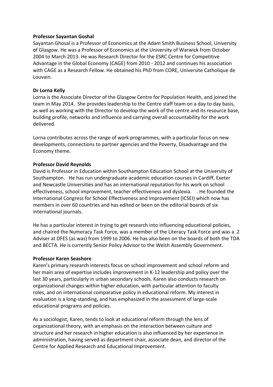#### **Professor Sayantan Goshal**

Sayantan Ghosal is a Professor of Economics at the Adam Smith Business School, University of Glasgow. He was a Professor of Economics at the University of Warwick from October 2004 to March 2013. He was Research Director for the ESRC Centre for Competitive Advantage in the Global Economy (CAGE) from 2010 - 2012 and continues his association with CAGE as a Research Fellow. He obtained his PhD from CORE, Universite Catholique de Louvain.

#### **Dr Lorna Kelly**

Lorna is the Associate Director of the Glasgow Centre for Population Health, and joined the team in May 2014. She provides leadership to the Centre staff team on a day to day basis, as well as working with the Director to develop the work of the centre and its resource base, building profile, networks and influence and carrying overall accountability for the work delivered.

Lorna contributes across the range of work programmes, with a particular focus on new developments, connections to partner agencies and the Poverty, Disadvantage and the Economy theme.

#### **Professor David Reynolds**

David is Professor in Education within Southampton Education School at the University of Southampton. He has run undergraduate academic education courses in Cardiff, Exeter and Newcastle Universities and has an international reputation for his work on school effectiveness, school improvement, teacher effectiveness and dyslexia. . He founded the International Congress for School Effectiveness and Improvement (ICSEI) which now has members in over 60 countries and has edited or been on the editorial boards of six international journals.

He has a particular interest in trying to get research into influencing educational policies, and chaired the Numeracy Task Force, was a member of the Literacy Task Force and was a .2 Adviser at DFES (as was) from 1999 to 2006. He has also been on the boards of both the TDA and BECTA. He is currently Senior Policy Advisor to the Welsh Assembly Government.

#### **Professor Karen Seashore**

Karen's primary research interests focus on school improvement and school reform and her main area of expertise includes improvement in K-12 leadership and policy over the last 30 years, particularly in urban secondary schools. Karen also conducts research on organizational changes within higher education, with particular attention to faculty roles, and on international comparative policy in educational reform. My interest in evaluation is a long-standing, and has emphasized in the assessment of large-scale educational programs and policies.

As a sociologist, Karen, tends to look at educational reform through the lens of organizational theory, with an emphasis on the interaction between culture and structure and her research in higher education is also influenced by her experience in administration, having served as department chair, associate dean, and director of the [Centre for Applied Research and Educational Improvement.](http://cehd.umn.edu/carei/)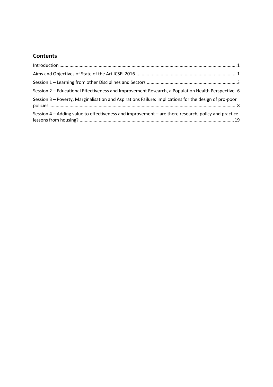# **Contents**

| Session 2 - Educational Effectiveness and Improvement Research, a Population Health Perspective . 6   |  |
|-------------------------------------------------------------------------------------------------------|--|
| Session 3 - Poverty, Marginalisation and Aspirations Failure: implications for the design of pro-poor |  |
| Session 4 – Adding value to effectiveness and improvement – are there research, policy and practice   |  |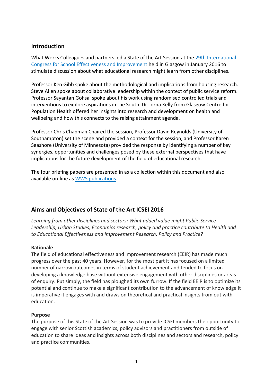## <span id="page-5-0"></span>**Introduction**

What Works Colleagues and partners led a State of the Art Session at the [29th International](http://www.icsei.net/2016/)  [Congress for School Effectiveness and Improvement](http://www.icsei.net/2016/) held in Glasgow in January 2016 to stimulate discussion about what educational research might learn from other disciplines.

Professor Ken Gibb spoke about the methodological and implications from housing research. Steve Allen spoke about collaborative leadership within the context of public service reform. Professor Sayantan Gohsal spoke about his work using randomised controlled trials and interventions to explore aspirations in the South. Dr Lorna Kelly from Glasgow Centre for Population Health offered her insights into research and development on health and wellbeing and how this connects to the raising attainment agenda.

Professor Chris Chapman Chaired the session, Professor David Reynolds (University of Southampton) set the scene and provided a context for the session, and Professor Karen Seashore (University of Minnesota) provided the response by identifying a number of key synergies, opportunities and challenges posed by these external perspectives that have implications for the future development of the field of educational research.

The four briefing papers are presented in as a collection within this document and also available on-line as [WWS publications.](http://whatworksscotland.ac.uk/publications/)

## <span id="page-5-1"></span>**Aims and Objectives of State of the Art ICSEI 2016**

*Learning from other disciplines and sectors: What added value might Public Service Leadership, Urban Studies, Economics research, policy and practice contribute to Health add to Educational Effectiveness and Improvement Research, Policy and Practice?*

#### **Rationale**

The field of educational effectiveness and improvement research (EEIR) has made much progress over the past 40 years. However, for the most part it has focused on a limited number of narrow outcomes in terms of student achievement and tended to focus on developing a knowledge base without extensive engagement with other disciplines or areas of enquiry. Put simply, the field has ploughed its own furrow. If the field EEIR is to optimize its potential and continue to make a significant contribution to the advancement of knowledge it is imperative it engages with and draws on theoretical and practical insights from out with education.

#### **Purpose**

The purpose of this State of the Art Session was to provide ICSEI members the opportunity to engage with senior Scottish academics, policy advisors and practitioners from outside of education to share ideas and insights across both disciplines and sectors and research, policy and practice communities.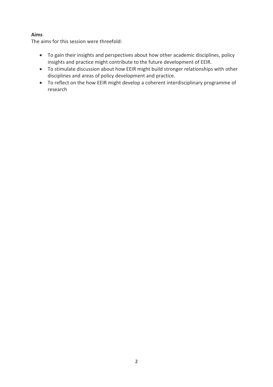## **Aims**

The aims for this session were threefold:

- To gain their insights and perspectives about how other academic disciplines, policy insights and practice might contribute to the future development of EEIR.
- To stimulate discussion about how EEIR might build stronger relationships with other disciplines and areas of policy development and practice.
- To reflect on the how EEIR might develop a coherent interdisciplinary programme of research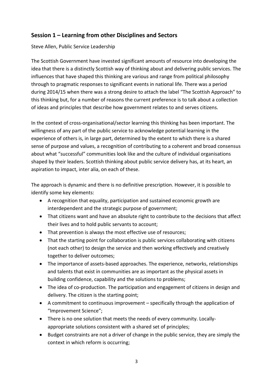# <span id="page-7-0"></span>**Session 1 – Learning from other Disciplines and Sectors**

Steve Allen, Public Service Leadership

The Scottish Government have invested significant amounts of resource into developing the idea that there is a distinctly Scottish way of thinking about and delivering public services. The influences that have shaped this thinking are various and range from political philosophy through to pragmatic responses to significant events in national life. There was a period during 2014/15 when there was a strong desire to attach the label "The Scottish Approach" to this thinking but, for a number of reasons the current preference is to talk about a collection of ideas and principles that describe how government relates to and serves citizens.

In the context of cross-organisational/sector learning this thinking has been important. The willingness of any part of the public service to acknowledge potential learning in the experience of others is, in large part, determined by the extent to which there is a shared sense of purpose and values, a recognition of contributing to a coherent and broad consensus about what "successful" communities look like and the culture of individual organisations shaped by their leaders. Scottish thinking about public service delivery has, at its heart, an aspiration to impact, inter alia, on each of these.

The approach is dynamic and there is no definitive prescription. However, it is possible to identify some key elements:

- A recognition that equality, participation and sustained economic growth are interdependent and the strategic purpose of government;
- That citizens want and have an absolute right to contribute to the decisions that affect their lives and to hold public servants to account;
- That prevention is always the most effective use of resources;
- That the starting point for collaboration is public services collaborating with citizens (not each other) to design the service and then working effectively and creatively together to deliver outcomes;
- The importance of assets-based approaches. The experience, networks, relationships and talents that exist in communities are as important as the physical assets in building confidence, capability and the solutions to problems;
- The idea of co-production. The participation and engagement of citizens in design and delivery. The citizen is the starting point;
- A commitment to continuous improvement specifically through the application of "Improvement Science";
- There is no one solution that meets the needs of every community. Locallyappropriate solutions consistent with a shared set of principles;
- Budget constraints are not a driver of change in the public service, they are simply the context in which reform is occurring;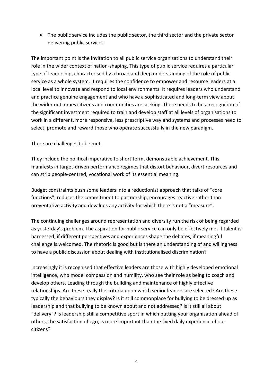• The public service includes the public sector, the third sector and the private sector delivering public services.

The important point is the invitation to all public service organisations to understand their role in the wider context of nation-shaping. This type of public service requires a particular type of leadership, characterised by a broad and deep understanding of the role of public service as a whole system. It requires the confidence to empower and resource leaders at a local level to innovate and respond to local environments. It requires leaders who understand and practice genuine engagement and who have a sophisticated and long-term view about the wider outcomes citizens and communities are seeking. There needs to be a recognition of the significant investment required to train and develop staff at all levels of organisations to work in a different, more responsive, less prescriptive way and systems and processes need to select, promote and reward those who operate successfully in the new paradigm.

There are challenges to be met.

They include the political imperative to short term, demonstrable achievement. This manifests in target-driven performance regimes that distort behaviour, divert resources and can strip people-centred, vocational work of its essential meaning.

Budget constraints push some leaders into a reductionist approach that talks of "core functions", reduces the commitment to partnership, encourages reactive rather than preventative activity and devalues any activity for which there is not a "measure".

The continuing challenges around representation and diversity run the risk of being regarded as yesterday's problem. The aspiration for public service can only be effectively met if talent is harnessed, if different perspectives and experiences shape the debates, if meaningful challenge is welcomed. The rhetoric is good but is there an understanding of and willingness to have a public discussion about dealing with institutionalised discrimination?

Increasingly it is recognised that effective leaders are those with highly developed emotional intelligence, who model compassion and humility, who see their role as being to coach and develop others. Leading through the building and maintenance of highly effective relationships. Are these really the criteria upon which senior leaders are selected? Are these typically the behaviours they display? Is it still commonplace for bullying to be dressed up as leadership and that bullying to be known about and not addressed? Is it still all about "delivery"? Is leadership still a competitive sport in which putting your organisation ahead of others, the satisfaction of ego, is more important than the lived daily experience of our citizens?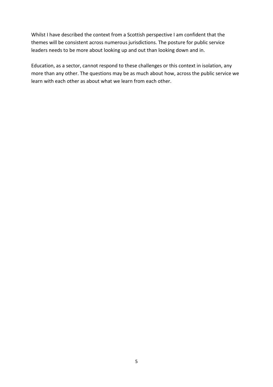Whilst I have described the context from a Scottish perspective I am confident that the themes will be consistent across numerous jurisdictions. The posture for public service leaders needs to be more about looking up and out than looking down and in.

Education, as a sector, cannot respond to these challenges or this context in isolation, any more than any other. The questions may be as much about how, across the public service we learn with each other as about what we learn from each other.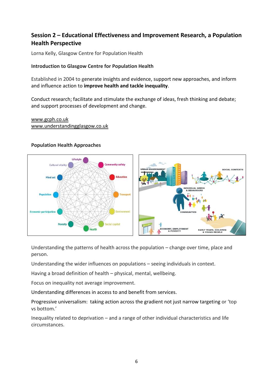# <span id="page-10-0"></span>**Session 2 – Educational Effectiveness and Improvement Research, a Population Health Perspective**

Lorna Kelly, Glasgow Centre for Population Health

## **Introduction to Glasgow Centre for Population Health**

Established in 2004 to generate insights and evidence, support new approaches, and inform and influence action to **improve health and tackle inequality**.

Conduct research; facilitate and stimulate the exchange of ideas, fresh thinking and debate; and support processes of development and change.

[www.gcph.co.uk](http://www.gcph.co.uk/) [www.understandingglasgow.co.uk](http://www.understandingglasgow.co.uk/) 

## **Population Health Approaches**



Understanding the patterns of health across the population – change over time, place and person.

Understanding the wider influences on populations – seeing individuals in context.

Having a broad definition of health – physical, mental, wellbeing.

Focus on inequality not average improvement.

Understanding differences in access to and benefit from services.

Progressive universalism: taking action across the gradient not just narrow targeting or 'top vs bottom.'

Inequality related to deprivation – and a range of other individual characteristics and life circumstances.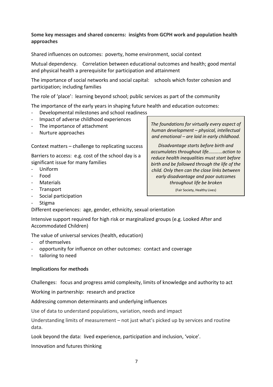#### **Some key messages and shared concerns: insights from GCPH work and population health approaches**

Shared influences on outcomes: poverty, home environment, social context

Mutual dependency. Correlation between educational outcomes and health; good mental and physical health a prerequisite for participation and attainment

The importance of social networks and social capital: schools which foster cohesion and participation; including families

The role of 'place': learning beyond school; public services as part of the community

The importance of the early years in shaping future health and education outcomes:

- Developmental milestones and school readiness
- Impact of adverse childhood experiences
- The importance of attachment
- Nurture approaches

Context matters – challenge to replicating success

Barriers to access: e.g. cost of the school day is a significant issue for many families

- Uniform
- Food
- **Materials**
- **Transport**
- Social participation
- **Stigma**

Different experiences: age, gender, ethnicity, sexual orientation

Intensive support required for high risk or marginalized groups (e.g. Looked After and Accommodated Children)

The value of universal services (health, education)

- of themselves
- opportunity for influence on other outcomes: contact and coverage
- tailoring to need

#### **Implications for methods**

Challenges: focus and progress amid complexity, limits of knowledge and authority to act

Working in partnership: research and practice

Addressing common determinants and underlying influences

Use of data to understand populations, variation, needs and impact

Understanding limits of measurement – not just what's picked up by services and routine data.

Look beyond the data: lived experience, participation and inclusion, 'voice'.

Innovation and futures thinking

*The foundations for virtually every aspect of human development – physical, intellectual and emotional – are laid in early childhood.* 

*Disadvantage starts before birth and accumulates throughout life...........action to reduce health inequalities must start before birth and be followed through the life of the child. Only then can the close links between early disadvantage and poor outcomes throughout life be broken* (Fair Society, Healthy Lives)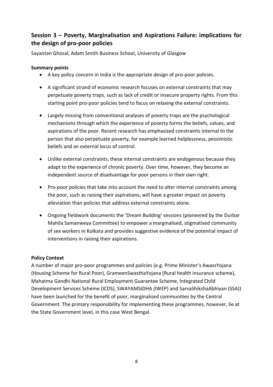# <span id="page-12-0"></span>**Session 3 – Poverty, Marginalisation and Aspirations Failure: implications for the design of pro-poor policies**

Sayantan Ghosal, Adam Smith Business School, University of Glasgow

## **Summary points**

- A key policy concern in India is the appropriate design of pro-poor policies.
- A significant strand of economic research focuses on external constraints that may perpetuate poverty traps, such as lack of credit or insecure property rights. From this starting point pro-poor policies tend to focus on relaxing the external constraints.
- Largely missing from conventional analyses of poverty traps are the psychological mechanisms through which the experience of poverty forms the beliefs, values, and aspirations of the poor. Recent research has emphasized constraints internal to the person that also perpetuate poverty, for example learned helplessness, pessimistic beliefs and an external locus of control.
- Unlike external constraints, these internal constraints are endogenous because they adapt to the experience of chronic poverty. Over time, however, they become an independent source of disadvantage for poor persons in their own right.
- Pro-poor policies that take into account the need to alter internal constraints among the poor, such as raising their aspirations, will have a greater impact on poverty alleviation than policies that address external constraints alone.
- Ongoing fieldwork documents the 'Dream Building' sessions (pioneered by the Durbar Mahila Samanweya Committee) to empower a marginalised, stigmatised community of sex workers in Kolkata and provides suggestive evidence of the potential impact of interventions in raising their aspirations.

## **Policy Context**

A number of major pro-poor programmes and policies (e.g. Prime Minister's AwassYojana (Housing Scheme for Rural Poor), GrameenSwasthaYojana (Rural health insurance scheme), Mahatma Gandhi National Rural Employment Guarantee Scheme, Integrated Child Development Services Scheme (ICDS), SWAYAMSIDHA (IWEP) and SarvaShikshaAbhiyan (SSA)) have been launched for the benefit of poor, marginalised communities by the Central Government. The primary responsibility for implementing these programmes, however, lie at the State Government level, in this case West Bengal.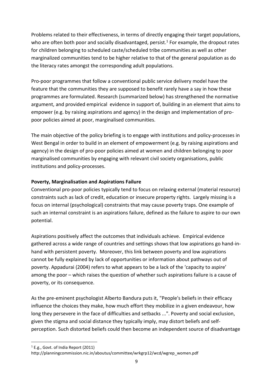Problems related to their effectiveness, in terms of directly engaging their target populations, who are often both poor and socially disadvantaged, persist.<sup>1</sup> For example, the dropout rates for children belonging to scheduled caste/scheduled tribe communities as well as other marginalized communities tend to be higher relative to that of the general population as do the literacy rates amongst the corresponding adult populations.

Pro-poor programmes that follow a conventional public service delivery model have the feature that the communities they are supposed to benefit rarely have a say in how these programmes are formulated. Research (summarized below) has strengthened the normative argument, and provided empirical evidence in support of, building in an element that aims to empower (e.g. by raising aspirations and agency) in the design and implementation of propoor policies aimed at poor, marginalised communities.

The main objective of the policy briefing is to engage with institutions and policy-processes in West Bengal in order to build in an element of empowerment (e.g. by raising aspirations and agency) in the design of pro-poor policies aimed at women and children belonging to poor marginalised communities by engaging with relevant civil society organisations, public institutions and policy-processes.

## **Poverty, Marginalisation and Aspirations Failure**

Conventional pro-poor policies typically tend to focus on relaxing external (material resource) constraints such as lack of credit, education or insecure property rights. Largely missing is a focus on internal (psychological) constraints that may cause poverty traps. One example of such an internal constraint is an aspirations failure, defined as the failure to aspire to our own potential.

Aspirations positively affect the outcomes that individuals achieve. Empirical evidence gathered across a wide range of countries and settings shows that low aspirations go hand-inhand with persistent poverty. Moreover, this link between poverty and low aspirations cannot be fully explained by lack of opportunities or information about pathways out of poverty. Appadurai (2004) refers to what appears to be a lack of the 'capacity to aspire' among the poor – which raises the question of whether such aspirations failure is a cause of poverty, or its consequence.

As the pre-eminent psychologist Alberto Bandura puts it, "People's beliefs in their efficacy influence the choices they make, how much effort they mobilize in a given endeavour, how long they persevere in the face of difficulties and setbacks ...". Poverty and social exclusion, given the stigma and social distance they typically imply, may distort beliefs and selfperception. Such distorted beliefs could then become an independent source of disadvantage

 $\overline{\phantom{a}}$ 

 $1$  E.g., Govt. of India Report (2011)

http://planningcommission.nic.in/aboutus/committee/wrkgrp12/wcd/wgrep\_women.pdf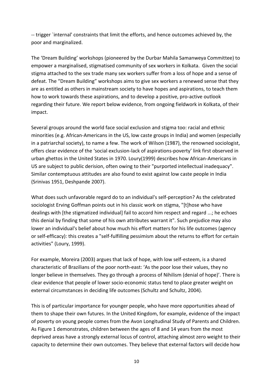-- trigger `internal' constraints that limit the efforts, and hence outcomes achieved by, the poor and marginalized.

The 'Dream Building' workshops (pioneered by the Durbar Mahila Samanweya Committee) to empower a marginalised, stigmatised community of sex workers in Kolkata. Given the social stigma attached to the sex trade many sex workers suffer from a loss of hope and a sense of defeat. The "Dream Building" workshops aims to give sex workers a renewed sense that they are as entitled as others in mainstream society to have hopes and aspirations, to teach them how to work towards these aspirations, and to develop a positive, pro-active outlook regarding their future. We report below evidence, from ongoing fieldwork in Kolkata, of their impact.

Several groups around the world face social exclusion and stigma too: racial and ethnic minorities (e.g. African-Americans in the US, low caste groups in India) and women (especially in a patriarchal society), to name a few. The work of Wilson (1987), the renowned sociologist, offers clear evidence of the 'social exclusion-lack of aspirations-poverty' link first observed in urban ghettos in the United States in 1970. Loury(1999) describes how African-Americans in US are subject to public derision, often owing to their "purported intellectual inadequacy". Similar contemptuous attitudes are also found to exist against low caste people in India (Srinivas 1951, Deshpande 2007).

What does such unfavorable regard do to an individual's self-perception? As the celebrated sociologist Erving Goffman points out in his classic work on stigma, "[t]hose who have dealings with [the stigmatized individual] fail to accord him respect and regard ...; he echoes this denial by finding that some of his own attributes warrant it". Such prejudice may also lower an individual's belief about how much his effort matters for his life outcomes (agency or self-efficacy): this creates a "self-fulfilling pessimism about the returns to effort for certain activities" (Loury, 1999).

For example, Moreira (2003) argues that lack of hope, with low self-esteem, is a shared characteristic of Brazilians of the poor north-east: 'As the poor lose their values, they no longer believe in themselves. They go through a process of Nihilism (denial of hope)'. There is clear evidence that people of lower socio-economic status tend to place greater weight on external circumstances in deciding life outcomes (Schultz and Schultz, 2004).

This is of particular importance for younger people, who have more opportunities ahead of them to shape their own futures. In the United Kingdom, for example, evidence of the impact of poverty on young people comes from the Avon Longitudinal Study of Parents and Children. As Figure 1 demonstrates, children between the ages of 8 and 14 years from the most deprived areas have a strongly external locus of control, attaching almost zero weight to their capacity to determine their own outcomes. They believe that external factors will decide how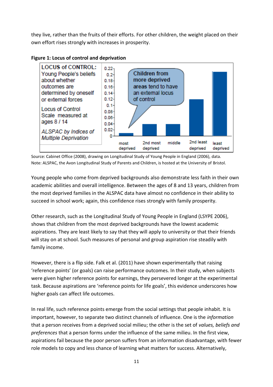they live, rather than the fruits of their efforts. For other children, the weight placed on their own effort rises strongly with increases in prosperity.





Source: Cabinet Office (2008), drawing on Longitudinal Study of Young People in England (2006), data. Note: ALSPAC, the Avon Longitudinal Study of Parents and Children, is hosted at the University of Bristol.

Young people who come from deprived backgrounds also demonstrate less faith in their own academic abilities and overall intelligence. Between the ages of 8 and 13 years, children from the most deprived families in the ALSPAC data have almost no confidence in their ability to succeed in school work; again, this confidence rises strongly with family prosperity.

Other research, such as the Longitudinal Study of Young People in England (LSYPE 2006), shows that children from the most deprived backgrounds have the lowest academic aspirations. They are least likely to say that they will apply to university or that their friends will stay on at school. Such measures of personal and group aspiration rise steadily with family income.

However, there is a flip side. Falk et al. (2011) have shown experimentally that raising 'reference points' (or goals) can raise performance outcomes. In their study, when subjects were given higher reference points for earnings, they persevered longer at the experimental task. Because aspirations are 'reference points for life goals', this evidence underscores how higher goals can affect life outcomes.

In real life, such reference points emerge from the social settings that people inhabit. It is important, however, to separate two distinct channels of influence. One is the *information* that a person receives from a deprived social milieu; the other is the set of *values, beliefs and preferences* that a person forms under the influence of the same milieu. In the first view, aspirations fail because the poor person suffers from an information disadvantage, with fewer role models to copy and less chance of learning what matters for success. Alternatively,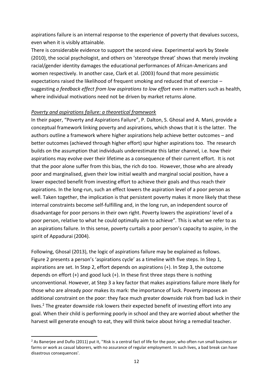aspirations failure is an internal response to the experience of poverty that devalues success, even when it is visibly attainable.

There is considerable evidence to support the second view. Experimental work by Steele (2010), the social psychologist, and others on 'stereotype threat' shows that merely invoking racial/gender identity damages the educational performances of African-Americans and women respectively. In another case, Clark et al. (2003) found that more pessimistic expectations raised the likelihood of frequent smoking and reduced that of exercise – suggesting *a feedback effect from low aspirations to low effort* even in matters such as health, where individual motivations need not be driven by market returns alone.

#### *Poverty and aspirations failure: a theoretical framework*

In their paper, "Poverty and Aspirations Failure", P. Dalton, S. Ghosal and A. Mani, provide a conceptual framework linking poverty and aspirations, which shows that it is the latter. The authors outline a framework where higher aspirations help achieve better outcomes – and better outcomes (achieved through higher effort) spur higher aspirations too. The research builds on the assumption that individuals underestimate this latter channel, i.e. how their aspirations may evolve over their lifetime as a consequence of their current effort. It is not that the poor alone suffer from this bias, the rich do too. However, those who are already poor and marginalised, given their low initial wealth and marginal social position, have a lower expected benefit from investing effort to achieve their goals and thus reach their aspirations. In the long-run, such an effect lowers the aspiration level of a poor person as well. Taken together, the implication is that persistent poverty makes it more likely that these internal constraints become self-fulfilling and, in the long run, an independent source of disadvantage for poor persons in their own right. Poverty lowers the aspirations' level of a poor person, relative to what he could optimally aim to achieve". This is what we refer to as an aspirations failure. In this sense, poverty curtails a poor person's capacity to aspire, in the spirit of Appadurai (2004).

Following, Ghosal (2013), the logic of aspirations failure may be explained as follows. Figure 2 presents a person's 'aspirations cycle' as a timeline with five steps. In Step 1, aspirations are set. In Step 2, effort depends on aspirations (+). In Step 3, the outcome depends on effort  $(+)$  and good luck  $(+)$ . In these first three steps there is nothing unconventional. However, at Step 3 a key factor that makes aspirations failure more likely for those who are already poor makes its mark: the importance of luck. Poverty imposes an additional constraint on the poor: they face much greater downside risk from bad luck in their lives.<sup>2</sup> The greater downside risk lowers their expected benefit of investing effort into any goal. When their child is performing poorly in school and they are worried about whether the harvest will generate enough to eat, they will think twice about hiring a remedial teacher.

 $\overline{a}$ 

 $2$  As Banerjee and Duflo (2011) put it, "Risk is a central fact of life for the poor, who often run small business or farms or work as casual laborers, with no assurance of regular employment. In such lives, a bad break can have disastrous consequences'.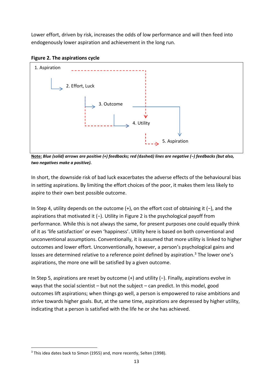Lower effort, driven by risk, increases the odds of low performance and will then feed into endogenously lower aspiration and achievement in the long run.





**Note:** *Blue (solid) arrows are positive (+) feedbacks; red (***dashed***) lines are negative (−) feedbacks (but also, two negatives make a positive).*

In short, the downside risk of bad luck exacerbates the adverse effects of the behavioural bias in setting aspirations. By limiting the effort choices of the poor, it makes them less likely to aspire to their own best possible outcome.

In Step 4, utility depends on the outcome (+), on the effort cost of obtaining it (−), and the aspirations that motivated it (−). Utility in Figure 2 is the psychological payoff from performance. While this is not always the same, for present purposes one could equally think of it as 'life satisfaction' or even 'happiness'. Utility here is based on both conventional and unconventional assumptions. Conventionally, it is assumed that more utility is linked to higher outcomes and lower effort. Unconventionally, however, a person's psychological gains and losses are determined relative to a reference point defined by aspiration.<sup>3</sup> The lower one's aspirations, the more one will be satisfied by a given outcome.

In Step 5, aspirations are reset by outcome (+) and utility (−). Finally, aspirations evolve in ways that the social scientist – but not the subject – can predict. In this model, good outcomes lift aspirations; when things go well, a person is empowered to raise ambitions and strive towards higher goals. But, at the same time, aspirations are depressed by higher utility, indicating that a person is satisfied with the life he or she has achieved.

 $\overline{a}$ 

<sup>&</sup>lt;sup>3</sup> This idea dates back to Simon (1955) and, more recently, Selten (1998).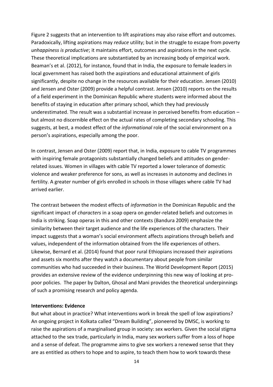Figure 2 suggests that an intervention to lift aspirations may also raise effort and outcomes. Paradoxically, lifting aspirations may *reduce* utility; but in the struggle to escape from poverty *unhappiness is productive*; it maintains effort, outcomes and aspirations in the next cycle. These theoretical implications are substantiated by an increasing body of empirical work. Beaman's et al. (2012), for instance, found that in India, the exposure to female leaders in local government has raised both the aspirations and educational attainment of girls significantly, despite no change in the resources available for their education. Jensen (2010) and Jensen and Oster (2009) provide a helpful contrast. Jensen (2010) reports on the results of a field experiment in the Dominican Republic where students were informed about the benefits of staying in education after primary school, which they had previously underestimated. The result was a substantial increase in perceived benefits from education – but almost no discernible effect on the actual rates of completing secondary schooling. This suggests, at best, a modest effect of the *informational* role of the social environment on a person's aspirations, especially among the poor.

In contrast, Jensen and Oster (2009) report that, in India, exposure to cable TV programmes with inspiring female protagonists substantially changed beliefs and attitudes on genderrelated issues. Women in villages with cable TV reported a lower tolerance of domestic violence and weaker preference for sons, as well as increases in autonomy and declines in fertility. A greater number of girls enrolled in schools in those villages where cable TV had arrived earlier.

The contrast between the modest effects of *information* in the Dominican Republic and the significant impact of *characters* in a soap opera on gender-related beliefs and outcomes in India is striking. Soap operas in this and other contexts (Bandura 2009) emphasize the similarity between their target audience and the life experiences of the characters. Their impact suggests that a woman's social environment affects aspirations through beliefs and values, independent of the information obtained from the life experiences of others. Likewise, Bernard et al. (2014) found that poor rural Ethiopians increased their aspirations and assets six months after they watch a documentary about people from similar communities who had succeeded in their business. The World Development Report (2015) provides an extensive review of the evidence underpinning this new way of looking at propoor policies. The paper by Dalton, Ghosal and Mani provides the theoretical underpinnings of such a promising research and policy agenda.

#### **Interventions: Evidence**

But what about in practice? What interventions work in break the spell of low aspirations? An ongoing project in Kolkata called "Dream Building", pioneered by DMSC, is working to raise the aspirations of a marginalised group in society: sex workers. Given the social stigma attached to the sex trade, particularly in India, many sex workers suffer from a loss of hope and a sense of defeat. The programme aims to give sex workers a renewed sense that they are as entitled as others to hope and to aspire, to teach them how to work towards these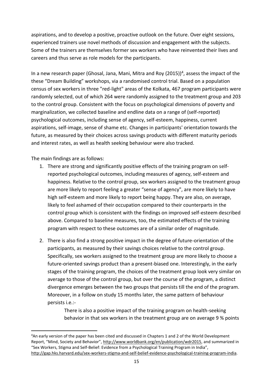aspirations, and to develop a positive, proactive outlook on the future. Over eight sessions, experienced trainers use novel methods of discussion and engagement with the subjects. Some of the trainers are themselves former sex workers who have reinvented their lives and careers and thus serve as role models for the participants.

In a new research paper (Ghosal, Jana, Mani, Mitra and Roy (2015))<sup>4</sup>, assess the impact of the these "Dream Building" workshops, via a randomised control trial. Based on a population census of sex workers in three "red-light" areas of the Kolkata, 467 program participants were randomly selected, out of which 264 were randomly assigned to the treatment group and 203 to the control group. Consistent with the focus on psychological dimensions of poverty and marginalization, we collected baseline and endline data on a range of (self-reported) psychological outcomes, including sense of agency, self-esteem, happiness, current aspirations, self-image, sense of shame etc. Changes in participants' orientation towards the future, as measured by their choices across savings products with different maturity periods and interest rates, as well as health seeking behaviour were also tracked.

The main findings are as follows:

 $\overline{\phantom{a}}$ 

- 1. There are strong and significantly positive effects of the training program on selfreported psychological outcomes, including measures of agency, self-esteem and happiness. Relative to the control group, sex workers assigned to the treatment group are more likely to report feeling a greater "sense of agency", are more likely to have high self-esteem and more likely to report being happy. They are also, on average, likely to feel ashamed of their occupation compared to their counterparts in the control group which is consistent with the findings on improved self-esteem described above. Compared to baseline measures, too, the estimated effects of the training program with respect to these outcomes are of a similar order of magnitude.
- 2. There is also find a strong positive impact in the degree of future-orientation of the participants, as measured by their savings choices relative to the control group. Specifically, sex workers assigned to the treatment group are more likely to choose a future-oriented savings product than a present-biased one. Interestingly, in the early stages of the training program, the choices of the treatment group look very similar on average to those of the control group, but over the course of the program, a distinct divergence emerges between the two groups that persists till the end of the program. Moreover, in a follow on study 15 months later, the same pattern of behaviour persists i.e.:-

There is also a positive impact of the training program on health-seeking behavior in that sex workers in the treatment group are on average 9 % points

<sup>4</sup>An early version of the paper has been cited and discussed in Chapters 1 and 2 of the World Development Report, "Mind, Society and Behavior", [http://www.worldbank.org/en/publication/wdr2015,](http://www.worldbank.org/en/publication/wdr2015) and summarized in "Sex Workers, Stigma and Self-Belief: Evidence from a Psychological Training Program in India", [http://gap.hks.harvard.edu/sex-workers-stigma-and-self-belief-evidence-psychological-training-program-india.](http://gap.hks.harvard.edu/sex-workers-stigma-and-self-belief-evidence-psychological-training-program-india)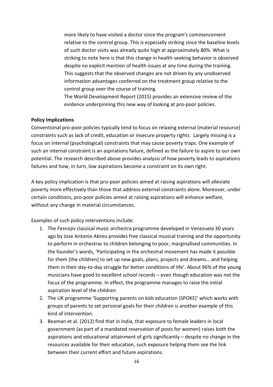more likely to have visited a doctor since the program's commencement relative to the control group. This is especially striking since the baseline levels of such doctor visits was already quite high at approximately 80%. What is striking to note here is that this change in health-seeking behavior is observed despite no explicit mention of health issues at any time during the training. This suggests that the observed changes are not driven by any unobserved information advantages conferred on the treatment group relative to the control group over the course of training.

The World Development Report (2015) provides an extensive review of the evidence underpinning this new way of looking at pro-poor policies.

## **Policy Implications**

Conventional pro-poor policies typically tend to focus on relaxing external (material resource) constraints such as lack of credit, education or insecure property rights. Largely missing is a focus on internal (psychological) constraints that may cause poverty traps. One example of such an internal constraint is an aspirations failure, defined as the failure to aspire to our own potential. The research described above provides analysis of how poverty leads to aspirations failures and how, in turn, low aspirations become a constraint on its own right.

A key policy implication is that pro-poor policies aimed at raising aspirations will alleviate poverty more effectively than those that address external constraints alone. Moreover, under certain conditions, pro-poor policies aimed at raising aspirations will enhance welfare, without any change in material circumstances.

Examples of such policy interventions include:

- 1. The Fesnojiv classical music orchestra programme developed in Venezuela 30 years ago by Jose Antonio Abreu provides free classical musical training and the opportunity to perform in orchestras to children belonging to poor, marginalised communities. In the founder's words, 'Participating in the orchestral movement has made it possible for them [the children] to set up new goals, plans, projects and dreams… and helping them in their day-to-day struggle for better conditions of life'. About 96% of the young musicians have good to excellent school records – even though education was not the focus of the programme. In effect, the programme manages to raise the initial aspiration level of the children.
- 2. The UK programme 'Supporting parents on kids education (SPOKE)' which works with groups of parents to set personal goals for their children is another example of this kind of intervention.
- 3. Beaman et al. (2012) find that in India, that exposure to female leaders in local government (as part of a mandated reservation of posts for women) raises both the aspirations and educational attainment of girls significantly – despite no change in the resources available for their education, such exposure helping them see the link between their current effort and future aspirations.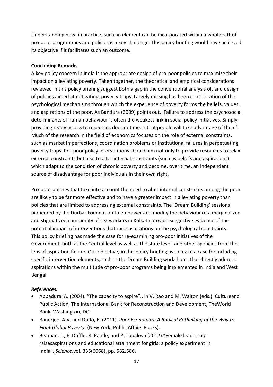Understanding how, in practice, such an element can be incorporated within a whole raft of pro-poor programmes and policies is a key challenge. This policy briefing would have achieved its objective if it facilitates such an outcome.

## **Concluding Remarks**

A key policy concern in India is the appropriate design of pro-poor policies to maximize their impact on alleviating poverty. Taken together, the theoretical and empirical considerations reviewed in this policy briefing suggest both a gap in the conventional analysis of, and design of policies aimed at mitigating, poverty traps. Largely missing has been consideration of the psychological mechanisms through which the experience of poverty forms the beliefs, values, and aspirations of the poor. As Bandura (2009) points out, 'Failure to address the psychosocial determinants of human behaviour is often the weakest link in social policy initiatives. Simply providing ready access to resources does not mean that people will take advantage of them'. Much of the research in the field of economics focuses on the role of external constraints, such as market imperfections, coordination problems or institutional failures in perpetuating poverty traps. Pro-poor policy interventions should aim not only to provide resources to relax external constraints but also to alter internal constraints (such as beliefs and aspirations), which adapt to the condition of chronic poverty and become, over time, an independent source of disadvantage for poor individuals in their own right.

Pro-poor policies that take into account the need to alter internal constraints among the poor are likely to be far more effective and to have a greater impact in alleviating poverty than policies that are limited to addressing external constraints. The 'Dream Building' sessions pioneered by the Durbar Foundation to empower and modify the behaviour of a marginalized and stigmatized community of sex workers in Kolkata provide suggestive evidence of the potential impact of interventions that raise aspirations on the psychological constraints. This policy briefing has made the case for re-examining pro-poor initiatives of the Government, both at the Central level as well as the state level, and other agencies from the lens of aspiration failure. Our objective, in this policy briefing, is to make a case for including specific intervention elements, such as the Dream Building workshops, that directly address aspirations within the multitude of pro-poor programs being implemented in India and West Bengal.

## *References:*

- Appadurai A. (2004). "The capacity to aspire"., in V. Rao and M. Walton (eds.), Cultureand Public Action, The International Bank for Reconstruction and Development, TheWorld Bank, Washington, DC.
- Banerjee, A.V. and Duflo, E. (2011), *Poor Economics: A Radical Rethinking of the Way to Fight Global Poverty*. (New York: Public Affairs Books).
- Beaman, L., E. Dufflo, R. Pande, and P. Topalova (2012)."Female leadership raisesaspirations and educational attainment for girls: a policy experiment in India".,*Science*,vol. 335(6068), pp. 582.586.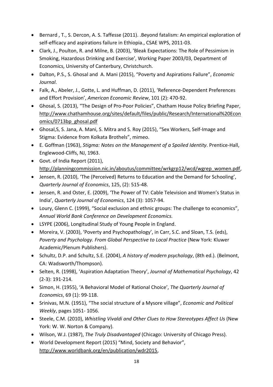- Bernard , T., S. Dercon, A. S. Taffesse (2011). .Beyond fatalism: An empirical exploration of self-efficacy and aspirations failure in Ethiopia., CSAE WPS, 2011-03.
- Clark, J., Poulton, R. and Milne, B. (2003), 'Bleak Expectations: The Role of Pessimism in Smoking, Hazardous Drinking and Exercise', Working Paper 2003/03, Department of Economics, University of Canterbury, Christchurch.
- Dalton, P.S., S. Ghosal and A. Mani (2015), "Poverty and Aspirations Failure", *Economic Journal*.
- Falk, A., Abeler, J., Gotte, L. and Huffman, D. (2011), 'Reference-Dependent Preferences and Effort Provision', *American Economic Review*, 101 (2): 470-92.
- Ghosal, S. (2013), "The Design of Pro-Poor Policies", Chatham House Policy Briefing Paper, [http://www.chathamhouse.org/sites/default/files/public/Research/International%20Econ](http://www.chathamhouse.org/sites/default/files/public/Research/International%20Economics/0713bp_ghosal.pdf) [omics/0713bp\\_ghosal.pdf](http://www.chathamhouse.org/sites/default/files/public/Research/International%20Economics/0713bp_ghosal.pdf)
- Ghosal,S, S. Jana, A. Mani, S. Mitra and S. Roy (2015), "Sex Workers, Self-Image and Stigma: Evidence from Kolkata Brothels", mimeo.
- E. Goffman (1963), *Stigma: Notes on the Management of a Spoiled Identity*. Prentice-Hall, Englewood-Cliffs, NJ, 1963.
- Govt. of India Report (2011), [http://planningcommission.nic.in/aboutus/committee/wrkgrp12/wcd/wgrep\\_women.pdf,](http://planningcommission.nic.in/aboutus/committee/wrkgrp12/wcd/wgrep_women.pdf)
- Jensen, R. (2010), 'The (Perceived) Returns to Education and the Demand for Schooling', *Quarterly Journal of Economics*, 125, (2): 515-48.
- Jensen, R. and Oster, E. (2009), 'The Power of TV: Cable Television and Women's Status in India', *Quarterly Journal of Economics*, 124 (3): 1057-94.
- Loury, Glenn C. (1999), "Social exclusion and ethnic groups: The challenge to economics", *Annual World Bank Conference on Development Economics.*
- LSYPE (2006), Longitudinal Study of Young People in England.
- Moreira, V. (2003), 'Poverty and Psychopathology', in Carr, S.C. and Sloan, T.S. (eds), *Poverty and Psychology. From Global Perspective to Local Practice* (New York: Kluwer Academic/Plenum Publishers).
- Schultz, D.P. and Schultz, S.E. (2004), *A history of modern psychology*, (8th ed.). (Belmont, CA: Wadsworth/Thompson).
- Selten, R. (1998), 'Aspiration Adaptation Theory', *Journal of Mathematical Psychology*, 42 (2-3): 191-214.
- Simon, H. (1955), 'A Behavioral Model of Rational Choice', *The Quarterly Journal of Economics*, 69 (1): 99-118.
- Srinivas, M.N. (1951), "The social structure of a Mysore village", *Economic and Political Weekly*, pages 1051- 1056.
- Steele, C.M. (2010), *Whistling Vivaldi and Other Clues to How Stereotypes Affect Us* (New York: W. W. Norton & Company).
- Wilson, W.J. (1987), *The Truly Disadvantaged* (Chicago: University of Chicago Press).
- World Development Report (2015) "Mind, Society and Behavior", [http://www.worldbank.org/en/publication/wdr2015,](http://www.worldbank.org/en/publication/wdr2015)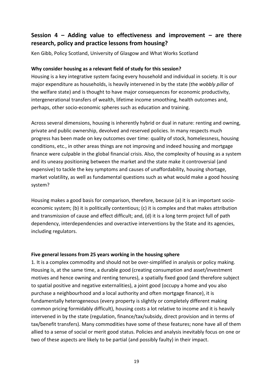# <span id="page-23-0"></span>**Session 4 – Adding value to effectiveness and improvement – are there research, policy and practice lessons from housing?**

Ken Gibb, Policy Scotland, University of Glasgow and What Works Scotland

#### **Why consider housing as a relevant field of study for this session?**

Housing is a key integrative system facing every household and individual in society. It is our major expenditure as households, is heavily intervened in by the state (the *wobbly pillar* of the welfare state) and is thought to have major consequences for economic productivity, intergenerational transfers of wealth, lifetime income smoothing, health outcomes and, perhaps, other socio-economic spheres such as education and training.

Across several dimensions, housing is inherently hybrid or dual in nature: renting and owning, private and public ownership, devolved and reserved policies. In many respects much progress has been made on key outcomes over time: quality of stock, homelessness, housing conditions, etc., in other areas things are not improving and indeed housing and mortgage finance were culpable in the global financial crisis. Also, the complexity of housing as a system and its uneasy positioning between the market and the state make it controversial (and expensive) to tackle the key symptoms and causes of unaffordability, housing shortage, market volatility, as well as fundamental questions such as what would make a good housing system?

Housing makes a good basis for comparison, therefore, because (a) it is an important socioeconomic system; (b) it is politically contentious; (c) it is complex and that makes attribution and transmission of cause and effect difficult; and, (d) it is a long term project full of path dependency, interdependencies and overactive interventions by the State and its agencies, including regulators.

#### **Five general lessons from 25 years working in the housing sphere**

1. It is a complex commodity and should not be over-simplified in analysis or policy making. Housing is, at the same time, a durable good (creating consumption and asset/investment motives and hence owning and renting tenures), a spatially fixed good (and therefore subject to spatial positive and negative externalities), a joint good (occupy a home and you also purchase a neighbourhood and a local authority and often mortgage finance), it is fundamentally heterogeneous (every property is slightly or completely different making common pricing formidably difficult), housing costs a lot relative to income and it is heavily intervened in by the state (regulation, finance/tax/subsidy, direct provision and in terms of tax/benefit transfers). Many commodities have some of these features; none have all of them allied to a sense of social or merit good status. Policies and analysis inevitably focus on one or two of these aspects are likely to be partial (and possibly faulty) in their impact.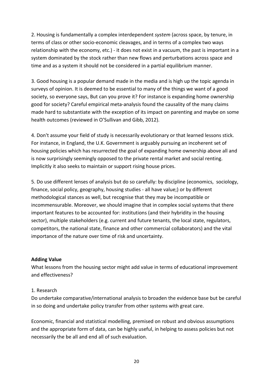2. Housing is fundamentally a complex interdependent *system* (across space, by tenure, in terms of class or other socio-economic cleavages, and in terms of a complex two ways relationship with the economy, etc.) - it does not exist in a vacuum, the past is important in a system dominated by the stock rather than new flows and perturbations across space and time and as a system it should not be considered in a partial equilibrium manner.

3. Good housing is a popular demand made in the media and is high up the topic agenda in surveys of opinion. It is deemed to be essential to many of the things we want of a good society, so everyone says, But can you prove it? For instance is expanding home ownership good for society? Careful empirical meta-analysis found the causality of the many claims made hard to substantiate with the exception of its impact on parenting and maybe on some health outcomes (reviewed in O'Sullivan and Gibb, 2012).

4. Don't assume your field of study is necessarily evolutionary or that learned lessons stick. For instance, in England, the U.K. Government is arguably pursuing an incoherent set of housing policies which has resurrected the goal of expanding home ownership above all and is now surprisingly seemingly opposed to the private rental market and social renting. Implicitly it also seeks to maintain or support rising house prices.

5. Do use different lenses of analysis but do so carefully: by discipline (economics, sociology, finance, social policy, geography, housing studies - all have value;) or by different methodological stances as well, but recognise that they may be incompatible or incommensurable. Moreover, we should imagine that in complex social systems that there important features to be accounted for: institutions (and their hybridity in the housing sector), multiple stakeholders (e.g. current and future tenants, the local state, regulators, competitors, the national state, finance and other commercial collaborators) and the vital importance of the nature over time of risk and uncertainty.

## **Adding Value**

What lessons from the housing sector might add value in terms of educational improvement and effectiveness?

## 1. Research

Do undertake comparative/international analysis to broaden the evidence base but be careful in so doing and undertake policy transfer from other systems with great care.

Economic, financial and statistical modelling, premised on robust and obvious assumptions and the appropriate form of data, can be highly useful, in helping to assess policies but not necessarily the be all and end all of such evaluation.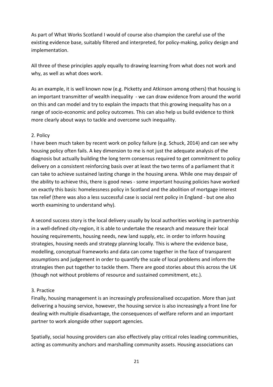As part of What Works Scotland I would of course also champion the careful use of the existing evidence base, suitably filtered and interpreted, for policy-making, policy design and implementation.

All three of these principles apply equally to drawing learning from what does not work and why, as well as what does work.

As an example, it is well known now (e.g. Picketty and Atkinson among others) that housing is an important transmitter of wealth inequality - we can draw evidence from around the world on this and can model and try to explain the impacts that this growing inequality has on a range of socio-economic and policy outcomes. This can also help us build evidence to think more clearly about ways to tackle and overcome such inequality.

## 2. Policy

I have been much taken by recent work on policy failure (e.g. Schuck, 2014) and can see why housing policy often fails. A key dimension to me is not just the adequate analysis of the diagnosis but actually building the long term consensus required to get commitment to policy delivery on a consistent reinforcing basis over at least the two terms of a parliament that it can take to achieve sustained lasting change in the housing arena. While one may despair of the ability to achieve this, there is good news - some important housing policies have worked on exactly this basis: homelessness policy in Scotland and the abolition of mortgage interest tax relief (there was also a less successful case is social rent policy in England - but one also worth examining to understand why).

A second success story is the local delivery usually by local authorities working in partnership in a well-defined city-region, it is able to undertake the research and measure their local housing requirements, housing needs, new land supply, etc. in order to inform housing strategies, housing needs and strategy planning locally. This is where the evidence base, modelling, conceptual frameworks and data can come together in the face of transparent assumptions and judgement in order to quantify the scale of local problems and inform the strategies then put together to tackle them. There are good stories about this across the UK (though not without problems of resource and sustained commitment, etc.).

## 3. Practice

Finally, housing management is an increasingly professionalised occupation. More than just delivering a housing service, however, the housing service is also increasingly a front line for dealing with multiple disadvantage, the consequences of welfare reform and an important partner to work alongside other support agencies.

Spatially, social housing providers can also effectively play critical roles leading communities, acting as community anchors and marshalling community assets. Housing associations can